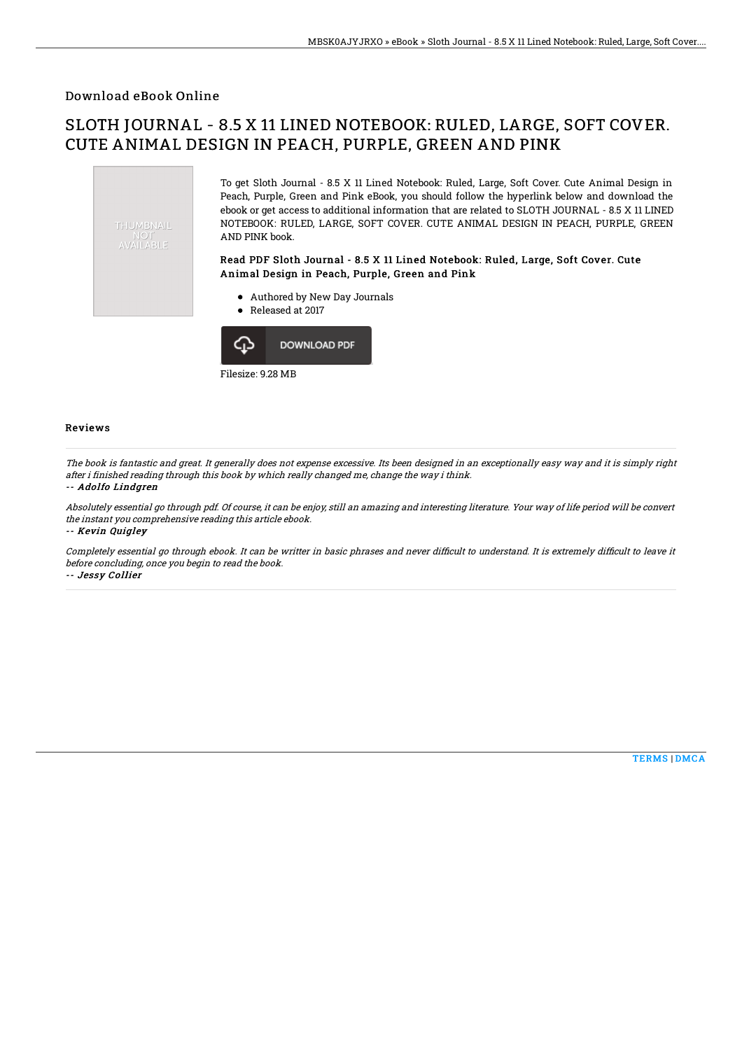## Download eBook Online

## SLOTH JOURNAL - 8.5 X 11 LINED NOTEBOOK: RULED, LARGE, SOFT COVER. CUTE ANIMAL DESIGN IN PEACH, PURPLE, GREEN AND PINK





Reviews

The book is fantastic and great. It generally does not expense excessive. Its been designed in an exceptionally easy way and it is simply right after i finished reading through this book by which really changed me, change the way i think.

## -- Adolfo Lindgren

Absolutely essential go through pdf. Of course, it can be enjoy, still an amazing and interesting literature. Your way of life period will be convert the instant you comprehensive reading this article ebook.

-- Kevin Quigley

Completely essential go through ebook. It can be writter in basic phrases and never difficult to understand. It is extremely difficult to leave it before concluding, once you begin to read the book.

-- Jessy Collier